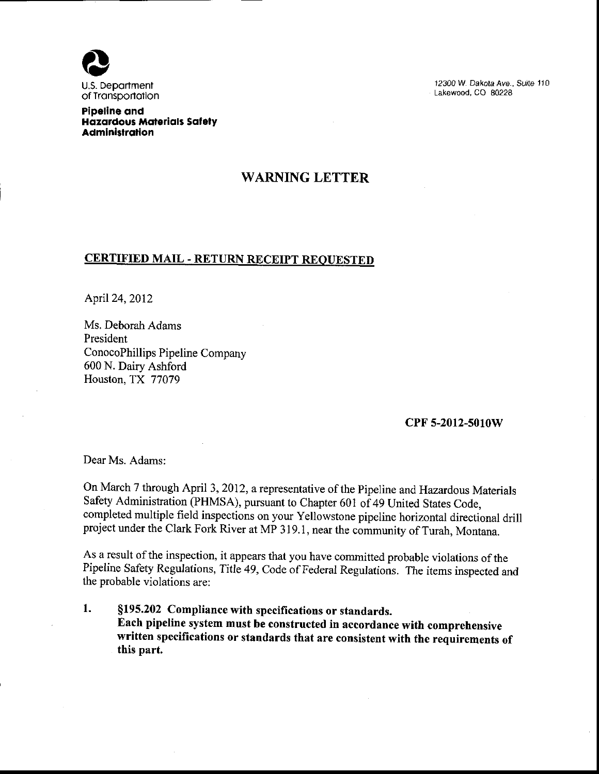

12300 W. Dakota Ave., Suite 110 Lakewood, CO 80228

Pipeline ond Hazardous Materials Safety **Administration** 

## WARNING LETTER

## **CERTIFIED MAIL - RETURN RECEIPT REQUESTED**

April24,2012

Ms. Deborah Adams President ConocoPhillips Pipeline Company 600 N. Dairy Ashford Houston, TX 77079

## cPF 5-2012-5010W

Dear Ms. Adams:

On March 7 through April 3, 2012, a representative of the Pipeline and Hazardous Materials Safety Administration (PHMSA), pursuant to Chapter 601 of 49 United States Code, completed multiple field inspections on your Yellowstone pipeline horizontal directional drill project under the Clark Fork River at MP 319.1, near the community of Turah, Montana.

As a result of the inspection, it appears that you have committed probable violations of the Pipeline Safety Regulations, Title 49, Code of Federal Regulations. The items inspected and the probable violations are:

1. \$f95.202 Compliance with specifications or standards. Each pipeline system must be constructed in accordance with comprehensive written specifications or standards that are consistent with the requirements of this part.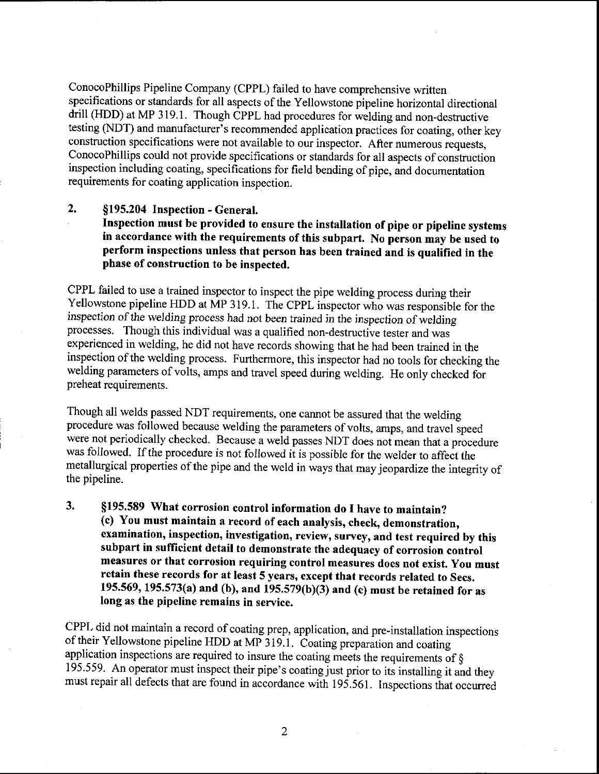ConocoPhillips Pipeline Company (CPPL) failed to have comprehensive written specifications or standards for all aspects of the Yellowstone pipeline horizontal directional drill (HDD) at MP 319.1. Though CPPL had procedures for welding and non-destructive testing (NDT) and manufacturer's recommended application practices for coating, other key construction specifications were not available to our inspector, After numerous requests. ConocoPhillips could not provide specifications or standards for all aspects of construction inspection including coating, specifications for field bending of pipe, and documentation requirements for coating application inspection.

## 2. \$195.204 Inspection - General.

Inspection must be provided to ensure the installation of pipe or pipeline systems in accordance with the requirements of this subpart, No person may be used to perform inspections unless that person has been trained and is qualified in the phase of construction to be inspected,

GPPL failed to use a trained inspector to inspecthe pipe welding process during their Yellowstone pipeline HDD at MP 319.1. The CPPL inspector who was responsible for the inspection of the welding process had not been trained in the inspection of welding processes. Though this individual was a qualified non-destructive tster and was experienced in welding, he did not have records showing that he had been trained in the inspection of the welding process. Furthermore, this inspector had no tools for checking the welding parameters of volts, amps and travel speed during welding. He only checked for preheat requirements.

Though all welds passed NDT requirements, one cannot be assured that the welding procedure was followed because welding the parameters of volts, amps, and travel speed were not periodically checked. Because a weld passes NDT does not mean that a procedure was followed. If the procedure is not followed it is possible for the welder to affect the metallurgical properties of the pipe and the weld in ways that may jeopardize the integrity of the pipeline.

3. \$f 95.589 What corrosion control information do I have to maintain? (c) You must maintain a record of each analysis, check, demonstration, examination, inspection, investigation, review, survey, and test required by this subpart in sufficient detail to demonstrate the adequacy of corrosion control measures or that corrosion requiring control measures does not exist. you must retain these records for at least 5 years, except that records related to secs. 195.569, 195.573(a) and (h), and 195.579(b)(3) and (c) must be retained for as Iong as the pipeline remains in service.

CPPL did not maintain a record of coating prep, application, and pre-installation inspections of their Yellowstone pipeline HDD at MP 319.1. Coating preparation and coating application inspections are required to insure the coating meets the requirements of  $\S$ 195.559. An operator must inspect their pipe's coating just prior to its installing it and they must repair all defects that are found in accordance with 195.561. Inspections that occurred

 $\overline{2}$